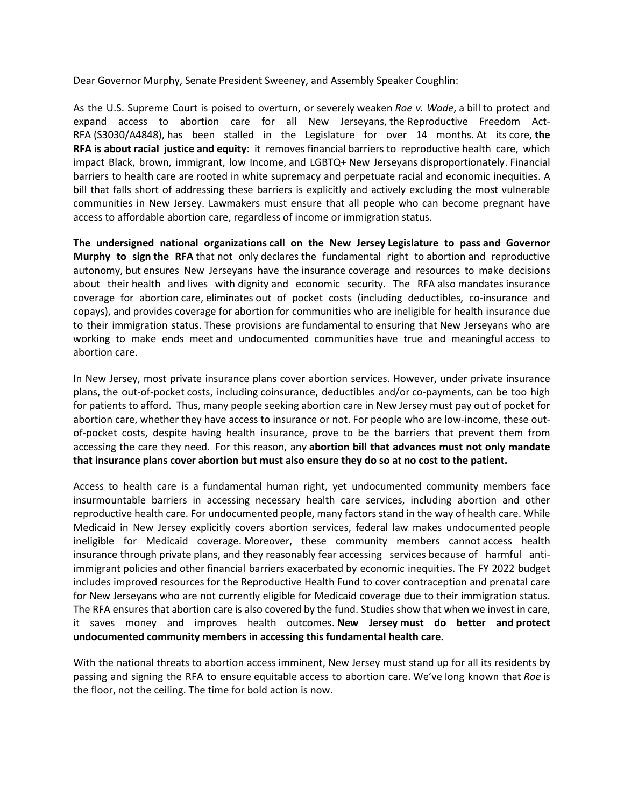Dear Governor Murphy, Senate President Sweeney, and Assembly Speaker Coughlin:

As the U.S. Supreme Court is poised to overturn, or severely weaken *Roe v. Wade*, a bill to protect and expand access to abortion care for all New Jerseyans, the Reproductive Freedom Act-RFA (S3030/A4848), has been stalled in the Legislature for over 14 months. At its core, **the RFA is about racial justice and equity**: it removes financial barriers to reproductive health care, which impact Black, brown, immigrant, low Income, and LGBTQ+ New Jerseyans disproportionately. Financial barriers to health care are rooted in white supremacy and perpetuate racial and economic inequities. A bill that falls short of addressing these barriers is explicitly and actively excluding the most vulnerable communities in New Jersey. Lawmakers must ensure that all people who can become pregnant have access to affordable abortion care, regardless of income or immigration status.

**The undersigned national organizations call on the New Jersey Legislature to pass and Governor Murphy to sign the RFA** that not only declares the fundamental right to abortion and reproductive autonomy, but ensures New Jerseyans have the insurance coverage and resources to make decisions about their health and lives with dignity and economic security. The RFA also mandates insurance coverage for abortion care, eliminates out of pocket costs (including deductibles, co-insurance and copays), and provides coverage for abortion for communities who are ineligible for health insurance due to their immigration status. These provisions are fundamental to ensuring that New Jerseyans who are working to make ends meet and undocumented communities have true and meaningful access to abortion care.

In New Jersey, most private insurance plans cover abortion services. However, under private insurance plans, the out-of-pocket costs, including coinsurance, deductibles and/or co-payments, can be too high for patients to afford. Thus, many people seeking abortion care in New Jersey must pay out of pocket for abortion care, whether they have access to insurance or not. For people who are low-income, these outof-pocket costs, despite having health insurance, prove to be the barriers that prevent them from accessing the care they need. For this reason, any **abortion bill that advances must not only mandate that insurance plans cover abortion but must also ensure they do so at no cost to the patient.**

Access to health care is a fundamental human right, yet undocumented community members face insurmountable barriers in accessing necessary health care services, including abortion and other reproductive health care. For undocumented people, many factors stand in the way of health care. While Medicaid in New Jersey explicitly covers abortion services, federal law makes undocumented people ineligible for Medicaid coverage. Moreover, these community members cannot access health insurance through private plans, and they reasonably fear accessing services because of harmful antiimmigrant policies and other financial barriers exacerbated by economic inequities. The FY 2022 budget includes improved resources for the Reproductive Health Fund to cover contraception and prenatal care for New Jerseyans who are not currently eligible for Medicaid coverage due to their immigration status. The RFA ensures that abortion care is also covered by the fund. Studies show that when we invest in care, it saves money and improves health outcomes. **New Jersey must do better and protect undocumented community members in accessing this fundamental health care.**

With the national threats to abortion access imminent, New Jersey must stand up for all its residents by passing and signing the RFA to ensure equitable access to abortion care. We've long known that *Roe* is the floor, not the ceiling. The time for bold action is now.